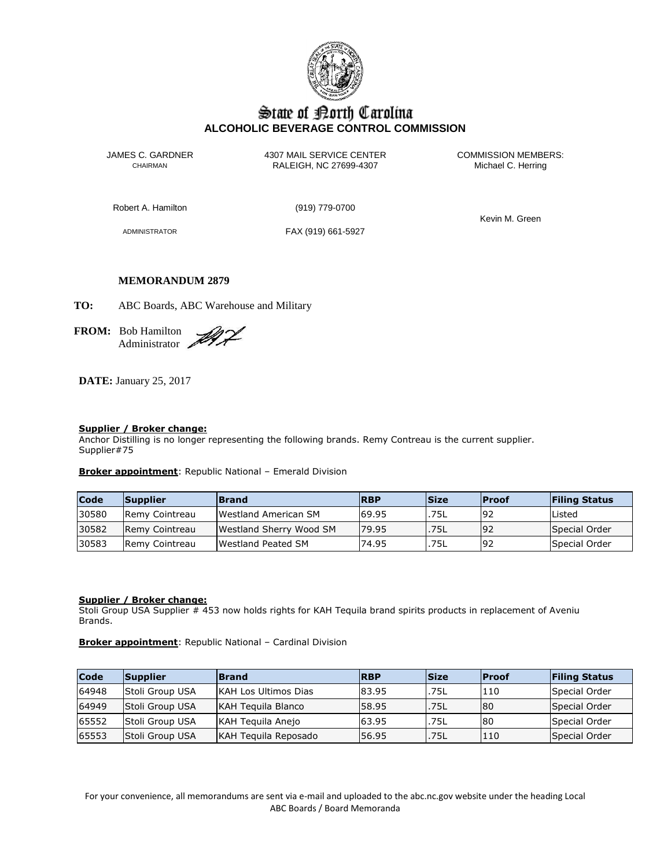

# State of Borth Carolina **ALCOHOLIC BEVERAGE CONTROL COMMISSION**

JAMES C. GARDNER 4307 MAIL SERVICE CENTER<br>CHAIRMAN CHAIRMAN RALEIGH, NC 27699-4307 Michael C. Herring CHAIRMAN RALEIGH, NC 27699-4307

Robert A. Hamilton (919) 779-0700

ADMINISTRATOR FAX (919) 661-5927

Kevin M. Green

### **MEMORANDUM 2879**

**TO:** ABC Boards, ABC Warehouse and Military

**FROM:** Bob Hamilton Administrator

**DATE:** January 25, 2017

### **Supplier / Broker change:**

Anchor Distilling is no longer representing the following brands. Remy Contreau is the current supplier. Supplier#75

**Broker appointment**: Republic National – Emerald Division

| <b>Code</b> | <b>Supplier</b>        | <b>Brand</b>                   | <b>RBP</b> | <b>Size</b> | <b>IProof</b> | <b>Filing Status</b> |
|-------------|------------------------|--------------------------------|------------|-------------|---------------|----------------------|
| 30580       | <b>Remy Cointreau</b>  | Westland American SM           | 69.95      | .75L        | 192           | Listed               |
| 30582       | <b>IRemy Cointreau</b> | <b>Westland Sherry Wood SM</b> | 179.95     | .75L        | 192           | Special Order        |
| 30583       | <b>IRemy Cointreau</b> | <b>IWestland Peated SM</b>     | 74.95      | .75L        | 192           | Special Order        |

### **Supplier / Broker change:**

Stoli Group USA Supplier # 453 now holds rights for KAH Tequila brand spirits products in replacement of Aveniu Brands.

**Broker appointment**: Republic National – Cardinal Division

| Code  | <b>Supplier</b> | <b>Brand</b>                | <b>RBP</b> | <b>Size</b> | <b>IProof</b> | <b>Filing Status</b> |
|-------|-----------------|-----------------------------|------------|-------------|---------------|----------------------|
| 64948 | Stoli Group USA | <b>KAH Los Ultimos Dias</b> | 83.95      | .75L        | 110           | Special Order        |
| 64949 | Stoli Group USA | <b>KAH Teguila Blanco</b>   | 58.95      | .75L        | 80            | Special Order        |
| 65552 | Stoli Group USA | KAH Teguila Anejo           | 63.95      | .75L        | 80            | Special Order        |
| 65553 | Stoli Group USA | KAH Teguila Reposado        | 56.95      | .75L        | 110           | Special Order        |

For your convenience, all memorandums are sent via e-mail and uploaded to the abc.nc.gov website under the heading Local ABC Boards / Board Memoranda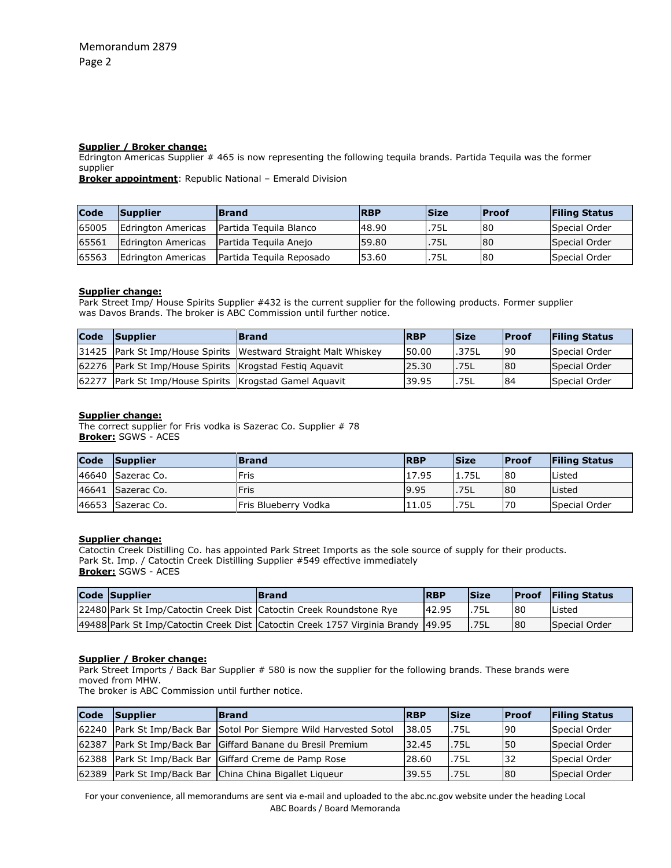#### **Supplier / Broker change:**

Edrington Americas Supplier # 465 is now representing the following tequila brands. Partida Tequila was the former supplier

**Broker appointment**: Republic National – Emerald Division

| Code  | Supplier           | <b>Brand</b>             | <b>RBP</b> | <b>Size</b> | <b>Proof</b> | <b>Filing Status</b> |
|-------|--------------------|--------------------------|------------|-------------|--------------|----------------------|
| 65005 | Edrington Americas | Partida Teguila Blanco   | 48.90      | .75L        | 80           | Special Order        |
| 65561 | Edrington Americas | Partida Teguila Anejo    | 59.80      | .75L        | 80           | Special Order        |
| 65563 | Edrington Americas | Partida Teguila Reposado | 53.60      | .75L        | 80           | Special Order        |

#### **Supplier change:**

Park Street Imp/ House Spirits Supplier #432 is the current supplier for the following products. Former supplier was Davos Brands. The broker is ABC Commission until further notice.

| <b>Code</b> | <b>Supplier</b>                                         | <b>Brand</b>                                                   | <b>RBP</b> | <b>Size</b> | <b>IProof</b> | <b>Filing Status</b> |
|-------------|---------------------------------------------------------|----------------------------------------------------------------|------------|-------------|---------------|----------------------|
|             |                                                         | 31425 Park St Imp/House Spirits Westward Straight Malt Whiskey | 50.00      | .375L       | 90            | Special Order        |
|             | 62276 Park St Imp/House Spirits Krogstad Festiq Aquavit |                                                                | 25.30      | .75L        | 80            | Special Order        |
| 62277       | Park St Imp/House Spirits Krogstad Gamel Aquavit        |                                                                | 39.95      | .75L        | 84            | Special Order        |

#### **Supplier change:**

The correct supplier for Fris vodka is Sazerac Co. Supplier # 78 **Broker:** SGWS - ACES

| <b>Code</b> | Supplier          | <b>Brand</b>          | <b>RBP</b> | <b>Size</b> | <b>IProof</b> | <b>Filing Status</b> |
|-------------|-------------------|-----------------------|------------|-------------|---------------|----------------------|
|             | 46640 Sazerac Co. | Fris                  | 17.95      | 1.75L       | 80            | Listed               |
|             | 46641 Sazerac Co. | Fris                  | 9.95       | .75L        | 80            | Listed               |
|             | 46653 Sazerac Co. | lFris Blueberry Vodka | 11.05      | .75L        | 70            | Special Order        |

#### **Supplier change:**

Catoctin Creek Distilling Co. has appointed Park Street Imports as the sole source of supply for their products. Park St. Imp. / Catoctin Creek Distilling Supplier #549 effective immediately **Broker:** SGWS - ACES

| Code Supplier                                                         | <b>Brand</b>                                                                       | <b>RBP</b> | <b>Size</b> |    | <b>Proof</b> Filing Status |
|-----------------------------------------------------------------------|------------------------------------------------------------------------------------|------------|-------------|----|----------------------------|
| 22480 Park St Imp/Catoctin Creek Dist   Catoctin Creek Roundstone Rye |                                                                                    | 142.95     | .75L        | 80 | Listed                     |
|                                                                       | 49488 Park St Imp/Catoctin Creek Dist   Catoctin Creek 1757 Virginia Brandy 149.95 |            | .75L        | 80 | Special Order              |

#### **Supplier / Broker change:**

Park Street Imports / Back Bar Supplier # 580 is now the supplier for the following brands. These brands were moved from MHW.

The broker is ABC Commission until further notice.

| $\mathsf{Code}$ | Supplier | <b>Brand</b>                                                | <b>RBP</b> | <b>Size</b> | <b>Proof</b> | <b>Filing Status</b> |
|-----------------|----------|-------------------------------------------------------------|------------|-------------|--------------|----------------------|
| 62240           |          | Park St Imp/Back Bar Sotol Por Siempre Wild Harvested Sotol | 38.05      | .75L        | <b>90</b>    | Special Order        |
| 62387           |          | Park St Imp/Back Bar Giffard Banane du Bresil Premium       | 32.45      | .75L        | 50           | Special Order        |
|                 |          | 62388 Park St Imp/Back Bar Giffard Creme de Pamp Rose       | 28.60      | .75L        | 32           | Special Order        |
| 62389           |          | Park St Imp/Back Bar China China Bigallet Liqueur           | 39.55      | .75L        | 80           | Special Order        |

For your convenience, all memorandums are sent via e-mail and uploaded to the abc.nc.gov website under the heading Local ABC Boards / Board Memoranda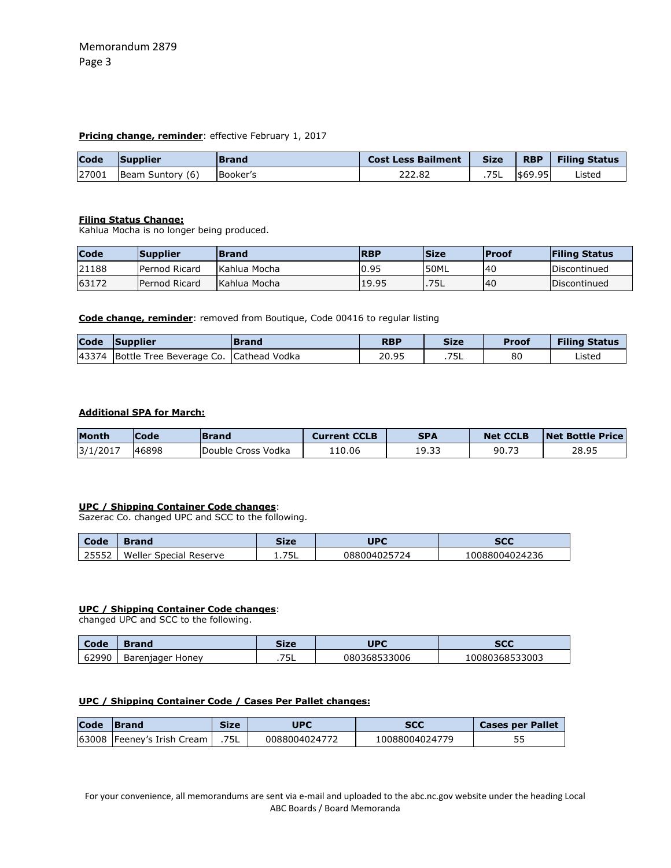### **Pricing change, reminder:** effective February 1, 2017

| Code  | <b>Supplier</b>  | <b>Brand</b>    | <b>Cost Less Bailment</b> | <b>Size</b> | <b>RBP</b> | <b>Filing Status</b> |
|-------|------------------|-----------------|---------------------------|-------------|------------|----------------------|
| 27001 | Beam Suntory (6) | <b>Booker's</b> | 222.82                    | .75L        | \$69.95    | Listed               |

### **Filing Status Change:**

Kahlua Mocha is no longer being produced.

| Code  | <b>Supplier</b> | <b>Brand</b> | <b>RBP</b> | <b>Size</b> | <b>Proof</b> | <b>Filing Status</b> |
|-------|-----------------|--------------|------------|-------------|--------------|----------------------|
| 21188 | Pernod Ricard   | Kahlua Mocha | 0.95       | 50ML        | 40           | Discontinued         |
| 63172 | Pernod Ricard   | Kahlua Mocha | 19.95      | .75L        | <b>40</b>    | Discontinued         |

**Code change, reminder**: removed from Boutique, Code 00416 to regular listing

| <b>Code</b> | <b>Supplier</b>                              | <b>IBrand</b> | <b>RBP</b> | <b>Size</b> | <b>Proof</b> | <b>Filing Status</b> |
|-------------|----------------------------------------------|---------------|------------|-------------|--------------|----------------------|
|             | 43374 Bottle Tree Beverage Co. Cathead Vodka |               | 20.95      | .75L        | 80           | Listed               |

### **Additional SPA for March:**

| <b>Month</b> | Code  | <b>Brand</b>        | <b>Current CCLB</b> | <b>SPA</b> | <b>Net CCLB</b> | <b>Net Bottle Price</b> |
|--------------|-------|---------------------|---------------------|------------|-----------------|-------------------------|
| 3/1/2017     | 46898 | IDouble Cross Vodka | 10.06ء              | 19.33      | 90.71           | 28.95                   |

### **UPC / Shipping Container Code changes**:

Sazerac Co. changed UPC and SCC to the following.

| Code  | Brand                  | Size  | <b>UPC</b>   | <b>SCC</b>     |
|-------|------------------------|-------|--------------|----------------|
| 25552 | Weller Special Reserve | 1.75L | 088004025724 | 10088004024236 |

### **UPC / Shipping Container Code changes**:

changed UPC and SCC to the following.

| Code  | Brand            | Size     | UPC          | <b>SCC</b>     |
|-------|------------------|----------|--------------|----------------|
| 62990 | Bareniager Honey | フロー<br>. | 080368533006 | 10080368533003 |

## **UPC / Shipping Container Code / Cases Per Pallet changes:**

| Code | Size<br><b>IBrand</b>      |      | UPC           | <b>SCC</b>     | <b>Cases per Pallet</b> |
|------|----------------------------|------|---------------|----------------|-------------------------|
|      | 63008 Feeney's Irish Cream | .75L | 0088004024772 | 10088004024779 | 55                      |

For your convenience, all memorandums are sent via e-mail and uploaded to the abc.nc.gov website under the heading Local ABC Boards / Board Memoranda